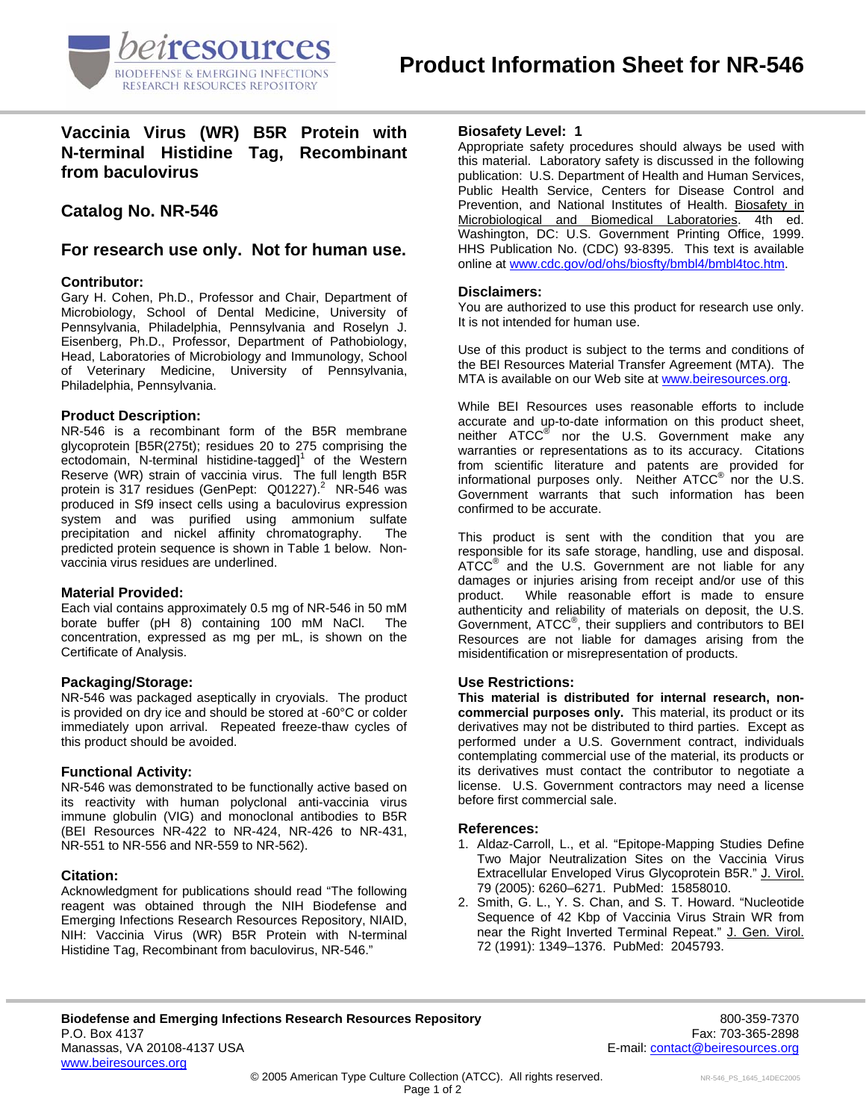

**Vaccinia Virus (WR) B5R Protein with N-terminal Histidine Tag, Recombinant from baculovirus** 

# **Catalog No. NR-546**

## **For research use only. Not for human use.**

### **Contributor:**

Gary H. Cohen, Ph.D., Professor and Chair, Department of Microbiology, School of Dental Medicine, University of Pennsylvania, Philadelphia, Pennsylvania and Roselyn J. Eisenberg, Ph.D., Professor, Department of Pathobiology, Head, Laboratories of Microbiology and Immunology, School of Veterinary Medicine, University of Pennsylvania, Philadelphia, Pennsylvania.

### **Product Description:**

NR-546 is a recombinant form of the B5R membrane glycoprotein [B5R(275t); residues 20 to 275 comprising the ectodomain, N-terminal histidine-tagged]<sup>1</sup> of the Western Reserve (WR) strain of vaccinia virus. The full length B5R protein is 317 residues (GenPept:  $Q01227$ ).<sup>2</sup> NR-546 was produced in Sf9 insect cells using a baculovirus expression system and was purified using ammonium sulfate precipitation and nickel affinity chromatography. The predicted protein sequence is shown in Table 1 below. Nonvaccinia virus residues are underlined.

### **Material Provided:**

Each vial contains approximately 0.5 mg of NR-546 in 50 mM borate buffer (pH 8) containing 100 mM NaCl. The concentration, expressed as mg per mL, is shown on the Certificate of Analysis.

### **Packaging/Storage:**

NR-546 was packaged aseptically in cryovials. The product is provided on dry ice and should be stored at -60°C or colder immediately upon arrival. Repeated freeze-thaw cycles of this product should be avoided.

### **Functional Activity:**

NR-546 was demonstrated to be functionally active based on its reactivity with human polyclonal anti-vaccinia virus immune globulin (VIG) and monoclonal antibodies to B5R (BEI Resources NR-422 to NR-424, NR-426 to NR-431, NR-551 to NR-556 and NR-559 to NR-562).

### **Citation:**

Acknowledgment for publications should read "The following reagent was obtained through the NIH Biodefense and Emerging Infections Research Resources Repository, NIAID, NIH: Vaccinia Virus (WR) B5R Protein with N-terminal Histidine Tag, Recombinant from baculovirus, NR-546."

### **Biosafety Level: 1**

Appropriate safety procedures should always be used with this material. Laboratory safety is discussed in the following publication: U.S. Department of Health and Human Services, Public Health Service, Centers for Disease Control and Prevention, and National Institutes of Health. Biosafety in Microbiological and Biomedical Laboratories. 4th ed. Washington, DC: U.S. Government Printing Office, 1999. HHS Publication No. (CDC) 93-8395. This text is available online at [www.cdc.gov/od/ohs/biosfty/bmbl4/bmbl4toc.htm](http://www.cdc.gov/od/ohs/biosfty/bmbl4/bmbl4toc.htm).

### **Disclaimers:**

You are authorized to use this product for research use only. It is not intended for human use.

Use of this product is subject to the terms and conditions of the BEI Resources Material Transfer Agreement (MTA). The MTA is available on our Web site at [www.beiresources.org](http://www.beiresources.org/).

While BEI Resources uses reasonable efforts to include accurate and up-to-date information on this product sheet, neither ATCC<sup>®</sup> nor the U.S. Government make any warranties or representations as to its accuracy. Citations from scientific literature and patents are provided for informational purposes only. Neither  $\tt{ATCC}^{\circledR}$  nor the U.S. Government warrants that such information has been confirmed to be accurate.

This product is sent with the condition that you are responsible for its safe storage, handling, use and disposal. ATCC<sup>®</sup> and the U.S. Government are not liable for any damages or injuries arising from receipt and/or use of this product. While reasonable effort is made to ensure authenticity and reliability of materials on deposit, the U.S. Government, ATCC® , their suppliers and contributors to BEI Resources are not liable for damages arising from the misidentification or misrepresentation of products.

### **Use Restrictions:**

**This material is distributed for internal research, noncommercial purposes only.** This material, its product or its derivatives may not be distributed to third parties. Except as performed under a U.S. Government contract, individuals contemplating commercial use of the material, its products or its derivatives must contact the contributor to negotiate a license. U.S. Government contractors may need a license before first commercial sale.

### **References:**

- 1. Aldaz-Carroll, L., et al. "Epitope-Mapping Studies Define Two Major Neutralization Sites on the Vaccinia Virus Extracellular Enveloped Virus Glycoprotein B5R." J. Virol. 79 (2005): 6260–6271. PubMed: 15858010.
- 2. Smith, G. L., Y. S. Chan, and S. T. Howard. "Nucleotide Sequence of 42 Kbp of Vaccinia Virus Strain WR from near the Right Inverted Terminal Repeat." J. Gen. Virol. 72 (1991): 1349–1376. PubMed: 2045793.